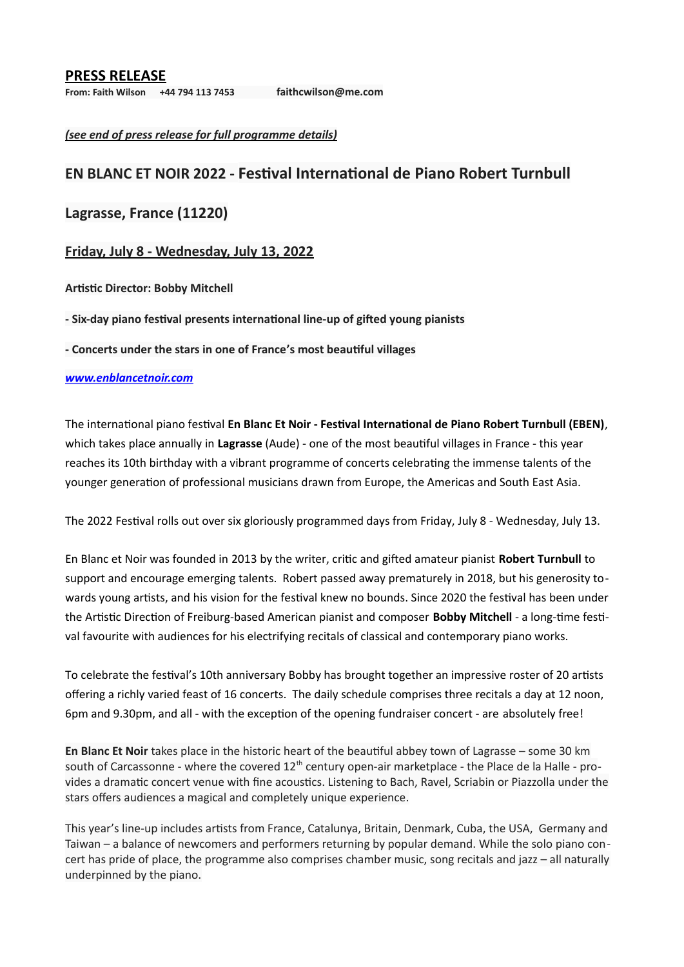## **PRESS RELEASE**

**From: Faith Wilson +44 794 113 7453 [faithcwilson@me.com](mailto:faithcwilson@me.com)**

*(see end of press release for full programme details)*

# **EN BLANC ET NOIR 2022 - Festival International de Piano Robert Turnbull**

# **Lagrasse, France (11220)**

## **Friday, July 8 - Wednesday, July 13, 2022**

## **Artistic Director: Bobby Mitchell**

**- Six-day piano festival presents international line-up of gifted young pianists** 

**- Concerts under the stars in one of France's most beautiful villages**

## *[www.enblancetnoir.com](http://www.enblancetnoir.com/)*

The international piano festival **En Blanc Et Noir - Festival International de Piano Robert Turnbull (EBEN)**, which takes place annually in **Lagrasse** (Aude) - one of the most beautiful villages in France - this year reaches its 10th birthday with a vibrant programme of concerts celebrating the immense talents of the younger generation of professional musicians drawn from Europe, the Americas and South East Asia.

The 2022 Festival rolls out over six gloriously programmed days from Friday, July 8 - Wednesday, July 13.

En Blanc et Noir was founded in 2013 by the writer, critic and gifted amateur pianist **Robert Turnbull** to support and encourage emerging talents. Robert passed away prematurely in 2018, but his generosity towards young artists, and his vision for the festival knew no bounds. Since 2020 the festival has been under the Artistic Direction of Freiburg-based American pianist and composer **Bobby Mitchell** - a long-time festival favourite with audiences for his electrifying recitals of classical and contemporary piano works.

To celebrate the festival's 10th anniversary Bobby has brought together an impressive roster of 20 artists offering a richly varied feast of 16 concerts. The daily schedule comprises three recitals a day at 12 noon, 6pm and 9.30pm, and all - with the exception of the opening fundraiser concert - are absolutely free!

**En Blanc Et Noir** takes place in the historic heart of the beautiful abbey town of Lagrasse – some 30 km south of Carcassonne - where the covered 12<sup>th</sup> century open-air marketplace - the Place de la Halle - provides a dramatic concert venue with fine acoustics. Listening to Bach, Ravel, Scriabin or Piazzolla under the stars offers audiences a magical and completely unique experience.

This year's line-up includes artists from France, Catalunya, Britain, Denmark, Cuba, the USA, Germany and Taiwan – a balance of newcomers and performers returning by popular demand. While the solo piano concert has pride of place, the programme also comprises chamber music, song recitals and jazz – all naturally underpinned by the piano.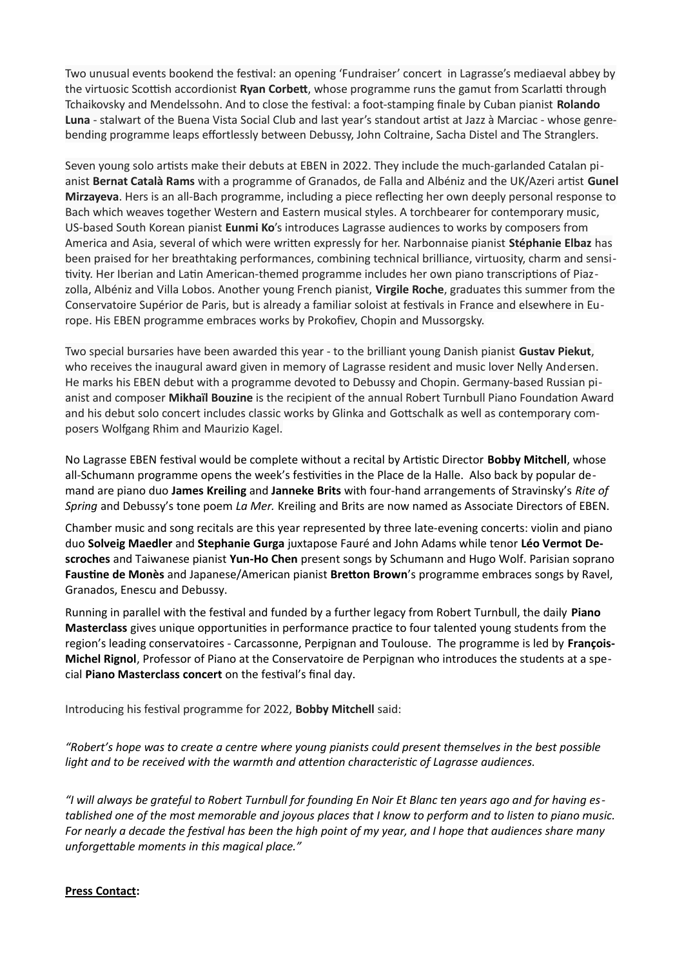Two unusual events bookend the festival: an opening 'Fundraiser' concert in Lagrasse's mediaeval abbey by the virtuosic Scottish accordionist **Ryan Corbett**, whose programme runs the gamut from Scarlatti through Tchaikovsky and Mendelssohn. And to close the festival: a foot-stamping finale by Cuban pianist **Rolando Luna** - stalwart of the Buena Vista Social Club and last year's standout artist at Jazz à Marciac - whose genrebending programme leaps effortlessly between Debussy, John Coltraine, Sacha Distel and The Stranglers.

Seven young solo artists make their debuts at EBEN in 2022. They include the much-garlanded Catalan pianist **Bernat Català Rams** with a programme of Granados, de Falla and Albéniz and the UK/Azeri artist **Gunel Mirzayeva**. Hers is an all-Bach programme, including a piece reflecting her own deeply personal response to Bach which weaves together Western and Eastern musical styles. A torchbearer for contemporary music, US-based South Korean pianist **Eunmi Ko**'s introduces Lagrasse audiences to works by composers from America and Asia, several of which were written expressly for her. Narbonnaise pianist **Stéphanie Elbaz** has been praised for her breathtaking performances, combining technical brilliance, virtuosity, charm and sensitivity. Her Iberian and Latin American-themed programme includes her own piano transcriptions of Piazzolla, Albéniz and Villa Lobos. Another young French pianist, **Virgile Roche**, graduates this summer from the Conservatoire Supérior de Paris, but is already a familiar soloist at festivals in France and elsewhere in Europe. His EBEN programme embraces works by Prokofiev, Chopin and Mussorgsky.

Two special bursaries have been awarded this year - to the brilliant young Danish pianist **Gustav Piekut**, who receives the inaugural award given in memory of Lagrasse resident and music lover Nelly Andersen. He marks his EBEN debut with a programme devoted to Debussy and Chopin. Germany-based Russian pianist and composer **Mikhaïl Bouzine** is the recipient of the annual Robert Turnbull Piano Foundation Award and his debut solo concert includes classic works by Glinka and Gottschalk as well as contemporary composers Wolfgang Rhim and Maurizio Kagel.

No Lagrasse EBEN festival would be complete without a recital by Artistic Director **Bobby Mitchell**, whose all-Schumann programme opens the week's festivities in the Place de la Halle. Also back by popular demand are piano duo **James Kreiling** and **Janneke Brits** with four-hand arrangements of Stravinsky's *Rite of Spring* and Debussy's tone poem *La Mer.* Kreiling and Brits are now named as Associate Directors of EBEN.

Chamber music and song recitals are this year represented by three late-evening concerts: violin and piano duo **Solveig Maedler** and **Stephanie Gurga** juxtapose Fauré and John Adams while tenor **Léo Vermot Descroches** and Taiwanese pianist **Yun-Ho Chen** present songs by Schumann and Hugo Wolf. Parisian soprano **Faustine de Monès** and Japanese/American pianist **Bretton Brown**'s programme embraces songs by Ravel, Granados, Enescu and Debussy.

Running in parallel with the festival and funded by a further legacy from Robert Turnbull, the daily **Piano Masterclass** gives unique opportunities in performance practice to four talented young students from the region's leading conservatoires - Carcassonne, Perpignan and Toulouse. The programme is led by **François-Michel Rignol**, Professor of Piano at the Conservatoire de Perpignan who introduces the students at a special **Piano Masterclass concert** on the festival's final day.

Introducing his festival programme for 2022, **Bobby Mitchell** said:

*"Robert's hope was to create a centre where young pianists could present themselves in the best possible light and to be received with the warmth and attention characteristic of Lagrasse audiences.*

*"I will always be grateful to Robert Turnbull for founding En Noir Et Blanc ten years ago and for having established one of the most memorable and joyous places that I know to perform and to listen to piano music. For nearly a decade the festival has been the high point of my year, and I hope that audiences share many unforgettable moments in this magical place."*

## **Press Contact:**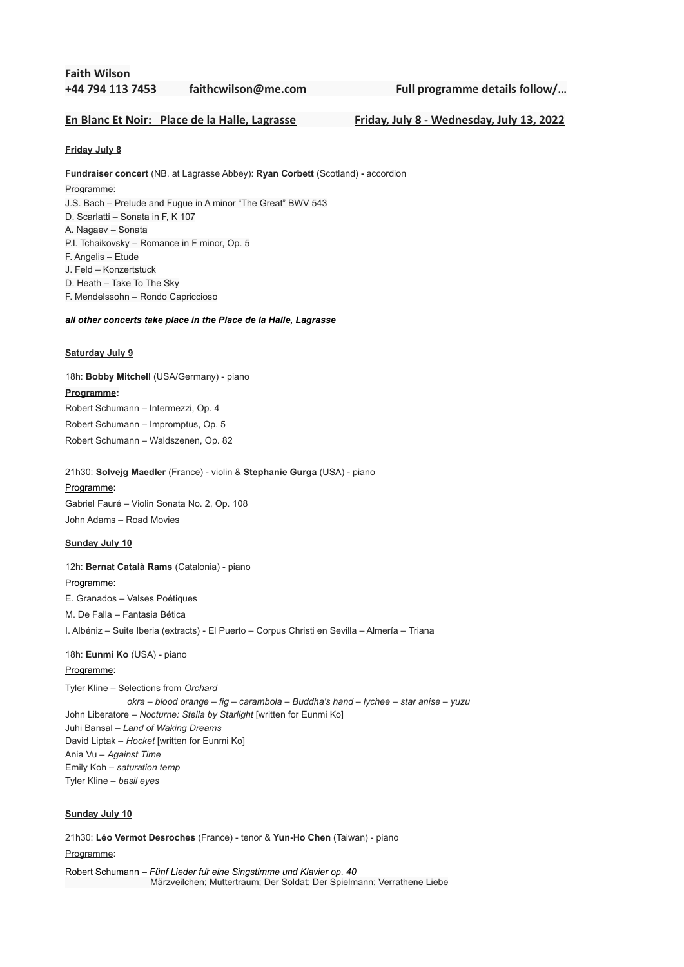## **Faith Wilson +44 794 113 7453 [faithcwilson@me.com](mailto:faithcwilson@me.com) Full programme details follow/…**

## **En Blanc Et Noir: Place de la Halle, Lagrasse Friday, July 8 - Wednesday, July 13, 2022**

**Friday July 8**

**Fundraiser concert** (NB. at Lagrasse Abbey): **Ryan Corbett** (Scotland) **-** accordion Programme: J.S. Bach – Prelude and Fugue in A minor "The Great" BWV 543 D. Scarlatti – Sonata in F, K 107 A. Nagaev – Sonata P.I. Tchaikovsky – Romance in F minor, Op. 5 F. Angelis – Etude J. Feld – Konzertstuck

D. Heath – Take To The Sky F. Mendelssohn – Rondo Capriccioso

### *all other concerts take place in the Place de la Halle, Lagrasse*

#### **Saturday July 9**

18h: **Bobby Mitchell** (USA/Germany) - piano **Programme:** Robert Schumann – Intermezzi, Op. 4 Robert Schumann – Impromptus, Op. 5 Robert Schumann – Waldszenen, Op. 82

21h30: **Solvejg Maedler** (France) - violin & **Stephanie Gurga** (USA) - piano

Programme: Gabriel Fauré – Violin Sonata No. 2, Op. 108 John Adams – Road Movies

#### **Sunday July 10**

12h: **Bernat Català Rams** (Catalonia) - piano

### Programme:

E. Granados – Valses Poétiques

M. De Falla – Fantasia Bética

I. Albéniz – Suite Iberia (extracts) - El Puerto – Corpus Christi en Sevilla – Almería – Triana

## 18h: **Eunmi Ko** (USA) - piano

## Programme:

Tyler Kline – Selections from *Orchard okra* – *blood orange* – *fig* – *carambola* – *Buddha's hand* – *lychee* – *star anise* – *yuzu* John Liberatore – *Nocturne: Stella by Starlight* [written for Eunmi Ko] Juhi Bansal – *Land of Waking Dreams* David Liptak – *Hocket* [written for Eunmi Ko] Ania Vu – *Against Time* Emily Koh – *saturation temp* Tyler Kline – *basil eyes*

### **Sunday July 10**

21h30: **Léo Vermot Desroches** (France) - tenor & **Yun-Ho Chen** (Taiwan) - piano Programme:

Robert Schumann – *Fünf Lieder für eine Singstimme und Klavier op. 40* Märzveilchen; Muttertraum; Der Soldat; Der Spielmann; Verrathene Liebe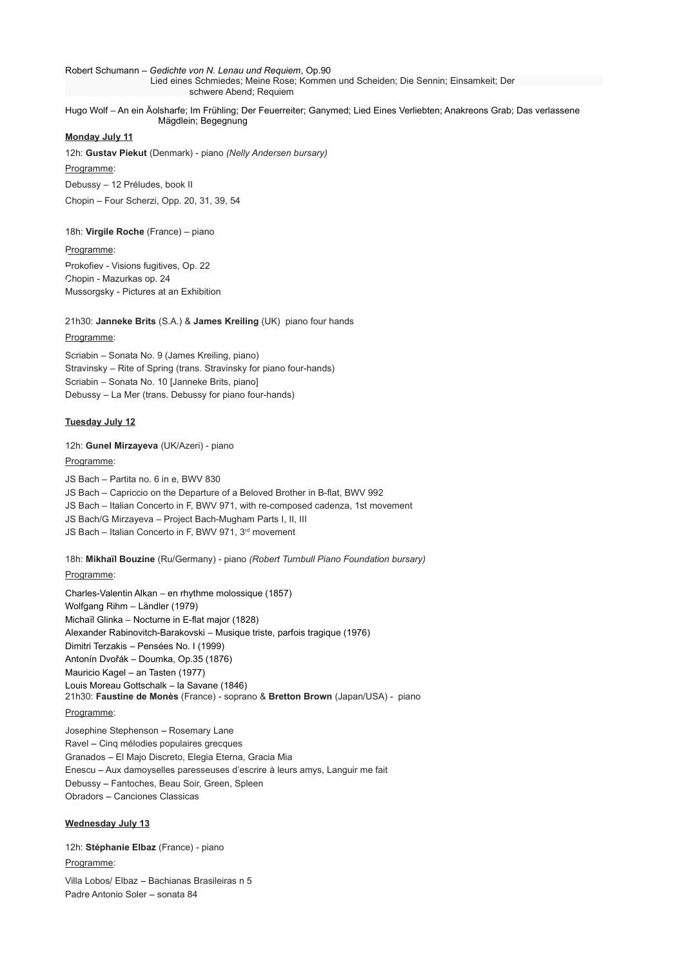Robert Schumann – *Gedichte von N. Lenau und Requiem*, Op.90 Lied eines Schmiedes; Meine Rose; Kommen und Scheiden; Die Sennin; Einsamkeit; Der

schwere Abend; Requiem

Hugo Wolf – An ein Äolsharfe; Im Frühling; Der Feuerreiter; Ganymed; Lied Eines Verliebten; Anakreons Grab; Das verlassene Mägdlein; Begegnung

#### **Monday July 11**

12h: **Gustav Piekut** (Denmark) - piano *(Nelly Andersen bursary)*

Programme:

Debussy – 12 Préludes, book II

Chopin – Four Scherzi, Opp. 20, 31, 39, 54

### 18h: **Virgile Roche** (France) – piano

#### Programme:

Prokofiev - Visions fugitives, Op. 22 Chopin - Mazurkas op. 24 Mussorgsky - Pictures at an Exhibition

# 21h30: **Janneke Brits** (S.A.) & **James Kreiling** (UK) piano four hands

### Programme:

Scriabin – Sonata No. 9 (James Kreiling, piano) Stravinsky – Rite of Spring (trans. Stravinsky for piano four-hands) Scriabin – Sonata No. 10 [Janneke Brits, piano] Debussy – La Mer (trans. Debussy for piano four-hands)

### **Tuesday July 12**

12h: **Gunel Mirzayeva** (UK/Azeri) - piano

#### Programme:

JS Bach – Partita no. 6 in e, BWV 830 JS Bach – Capriccio on the Departure of a Beloved Brother in B-flat, BWV 992 JS Bach – Italian Concerto in F, BWV 971, with re-composed cadenza, 1st movement JS Bach/G Mirzayeva – Project Bach-Mugham Parts I, II, III JS Bach – Italian Concerto in F, BWV 971, 3<sup>rd</sup> movement

18h: **Mikhaïl Bouzine** (Ru/Germany) - piano *(Robert Turnbull Piano Foundation bursary)*

## Programme:

Charles-Valentin Alkan – en rhythme molossique (1857) Wolfgang Rihm – Ländler (1979) Michaïl Glinka – Nocturne in E-flat major (1828) Alexander Rabinovitch-Barakovski – Musique triste, parfois tragique (1976) Dimitri Terzakis – Pensées No. I (1999) Antonín Dvořák – Doumka, Op.35 (1876) Mauricio Kagel – an Tasten (1977) Louis Moreau Gottschalk – la Savane (1846) 21h30: **Faustine de Monès** (France) - soprano & **Bretton Brown** (Japan/USA) - piano Programme:

Josephine Stephenson – Rosemary Lane Ravel – Cinq mélodies populaires grecques Granados – El Majo Discreto, Elegia Eterna, Gracia Mia Enescu – Aux damoyselles paresseuses d'escrire à leurs amys, Languir me fait Debussy – Fantoches, Beau Soir, Green, Spleen Obradors – Canciones Classicas

## **Wednesday July 13**

12h: **Stéphanie Elbaz** (France) - piano Programme:

Villa Lobos/ Elbaz – Bachianas Brasileiras n 5 Padre Antonio Soler – sonata 84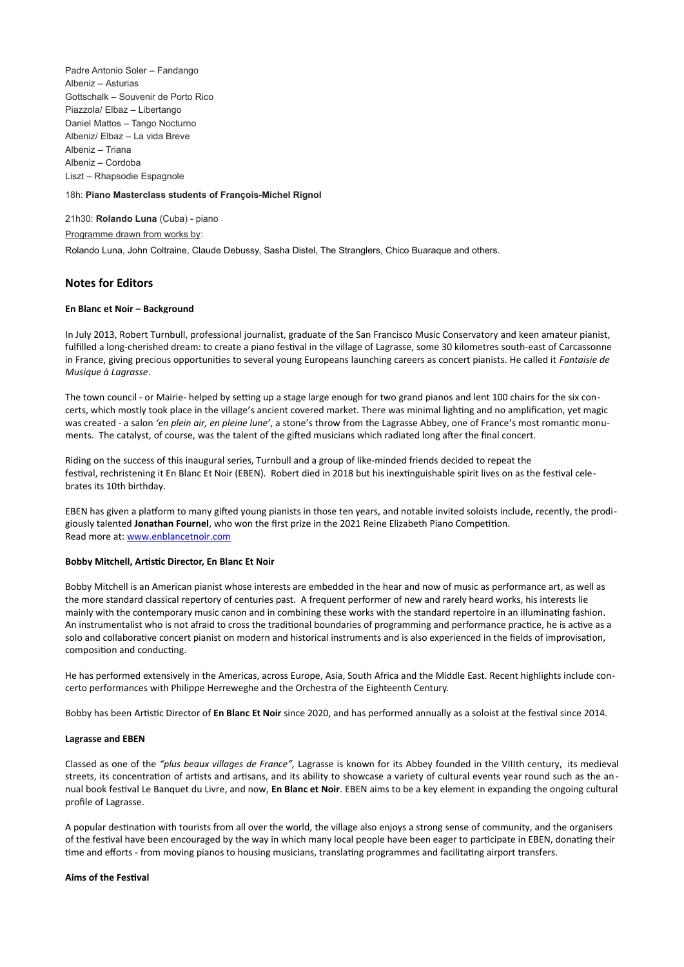Padre Antonio Soler – Fandango Albeniz – Asturias Gottschalk – Souvenir de Porto Rico Piazzola/ Elbaz – Libertango Daniel Mattos – Tango Nocturno Albeniz/ Elbaz – La vida Breve Albeniz – Triana Albeniz – Cordoba Liszt – Rhapsodie Espagnole

#### 18h: **Piano Masterclass students of François-Michel Rignol**

21h30: **Rolando Luna** (Cuba) - piano Programme drawn from works by: Rolando Luna, John Coltraine, Claude Debussy, Sasha Distel, The Stranglers, Chico Buaraque and others.

### **Notes for Editors**

#### **En Blanc et Noir – Background**

In July 2013, Robert Turnbull, professional journalist, graduate of the San Francisco Music Conservatory and keen amateur pianist, fulfilled a long-cherished dream: to create a piano festival in the village of Lagrasse, some 30 kilometres south-east of Carcassonne in France, giving precious opportunities to several young Europeans launching careers as concert pianists. He called it *Fantaisie de Musique à Lagrasse*.

The town council - or Mairie- helped by setting up a stage large enough for two grand pianos and lent 100 chairs for the six concerts, which mostly took place in the village's ancient covered market. There was minimal lighting and no amplification, yet magic was created - a salon *'en plein air, en pleine lune'*, a stone's throw from the Lagrasse Abbey, one of France's most romantic monuments. The catalyst, of course, was the talent of the gifted musicians which radiated long after the final concert.

Riding on the success of this inaugural series, Turnbull and a group of like-minded friends decided to repeat the festival, rechristening it En Blanc Et Noir (EBEN). Robert died in 2018 but his inextinguishable spirit lives on as the festival celebrates its 10th birthday.

EBEN has given a platform to many gifted young pianists in those ten years, and notable invited soloists include, recently, the prodigiously talented **Jonathan Fournel**, who won the first prize in the 2021 Reine Elizabeth Piano Competition. Read more at: [www.enblancetnoir.com](http://www.enblancetnoir.com/)

### **Bobby Mitchell, Artistic Director, En Blanc Et Noir**

Bobby Mitchell is an American pianist whose interests are embedded in the hear and now of music as performance art, as well as the more standard classical repertory of centuries past. A frequent performer of new and rarely heard works, his interests lie mainly with the contemporary music canon and in combining these works with the standard repertoire in an illuminating fashion. An instrumentalist who is not afraid to cross the traditional boundaries of programming and performance practice, he is active as a solo and collaborative concert pianist on modern and historical instruments and is also experienced in the fields of improvisation, composition and conducting.

He has performed extensively in the Americas, across Europe, Asia, South Africa and the Middle East. Recent highlights include concerto performances with Philippe Herreweghe and the Orchestra of the Eighteenth Century.

Bobby has been Artistic Director of **En Blanc Et Noir** since 2020, and has performed annually as a soloist at the festival since 2014.

#### **Lagrasse and EBEN**

Classed as one of the *["plus beaux villages de France"](http://t.signaledue.com/e1t/c/5/f18dqhb0s7lc8ddmpbw2n0x6l2b9nmjw7t5xx45v7v8kw1qg0vr5vmqt8w3ljg7x56dqdhf6jk_--02?t=http%25253a%25252f%25252fwww.les-plus-beaux-villages-de-france.org%25252ffr%25252flagrasse-0&si=4987445649604608&pi=88e86e553cd3419a9d240c2cb1b51e55),* Lagrasse is known for its [Abbey](http://www.abbayedelagrasse.com/) founded in the VIIIth century, its medieval streets, its concentration of artists and artisans, and its ability to showcase a variety of cultural events year round such as the an nual book festival [Le Banquet du Livre,](http://t.signaledue.com/e1t/c/5/f18dqhb0s7lc8ddmpbw2n0x6l2b9nmjw7t5xx45v7v8kw1qg0vr5vmqt8w3ljg7x56dqdhf6jk_--02?t=http%25253a%25252f%25252fwww.lamaisondubanquet.fr%25252f&si=4987445649604608&pi=88e86e553cd3419a9d240c2cb1b51e55) and now, **En Blanc et Noir**. [EBEN](http://enblancetnoir.weebly.com/) aims to be a key element in expanding the ongoing cultural profile of Lagrasse.

A popular destination with tourists from all over the world, the village also enjoys a strong sense of community, and the organisers of the festival have been encouraged by the way in which many local people have been eager to participate in EBEN, donating their time and efforts - from moving pianos to housing musicians, translating programmes and facilitating airport transfers.

#### **Aims of the Festival**